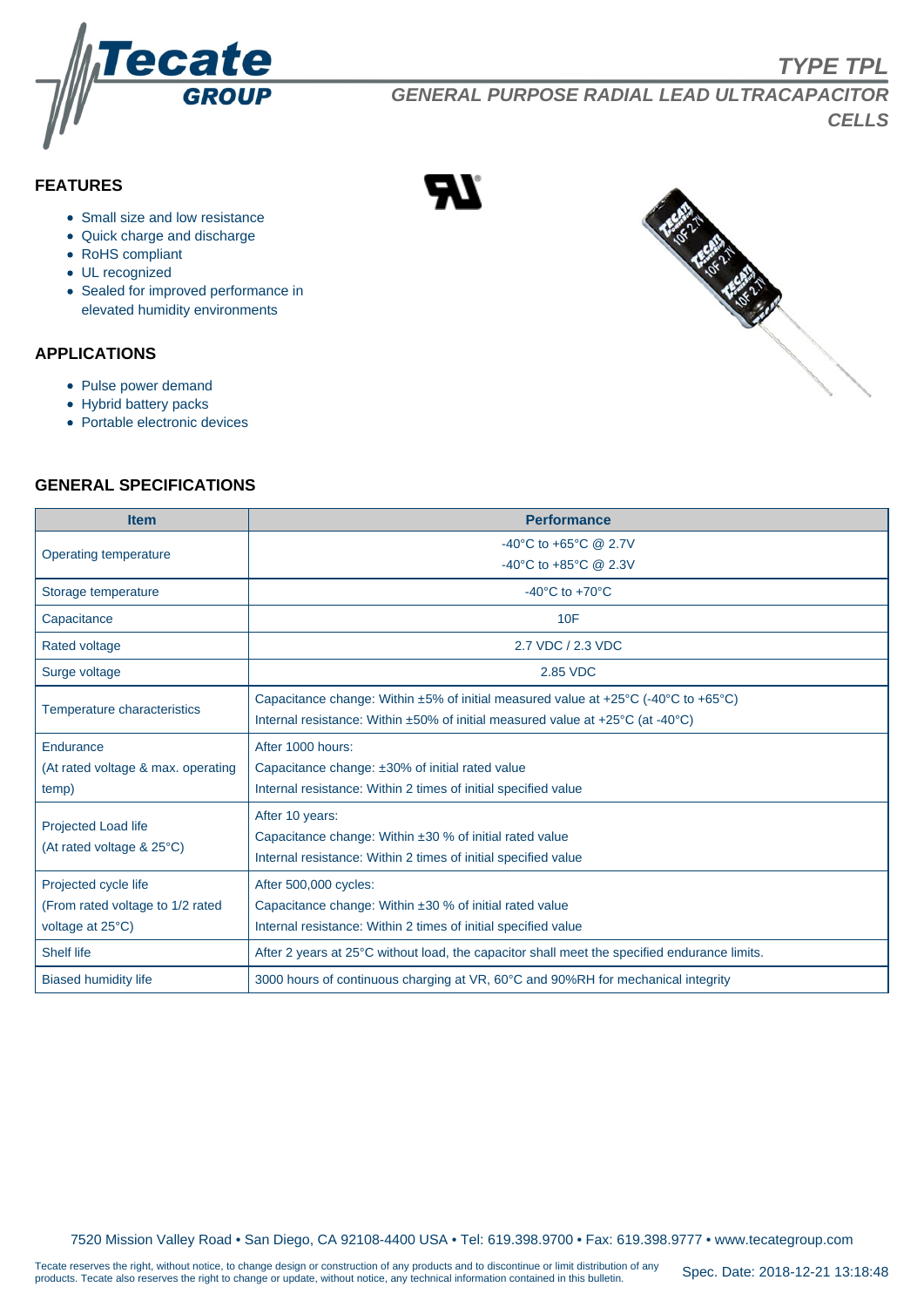

**TYPE TPL**

**GENERAL PURPOSE RADIAL LEAD ULTRACAPACITOR CELLS**

# **FEATURES**

- Small size and low resistance
- Quick charge and discharge
- RoHS compliant
- UL recognized
- Sealed for improved performance in elevated humidity environments

#### **APPLICATIONS**

- Pulse power demand
- Hybrid battery packs
- Portable electronic devices

## **GENERAL SPECIFICATIONS**

| <b>Item</b>                        | <b>Performance</b>                                                                           |  |  |  |  |  |  |  |  |
|------------------------------------|----------------------------------------------------------------------------------------------|--|--|--|--|--|--|--|--|
|                                    | -40°C to +65°C @ 2.7V                                                                        |  |  |  |  |  |  |  |  |
| Operating temperature              | -40°C to +85°C @ 2.3V                                                                        |  |  |  |  |  |  |  |  |
| Storage temperature                | -40 $^{\circ}$ C to +70 $^{\circ}$ C                                                         |  |  |  |  |  |  |  |  |
| Capacitance                        | 10F                                                                                          |  |  |  |  |  |  |  |  |
| <b>Rated voltage</b>               | 2.7 VDC / 2.3 VDC                                                                            |  |  |  |  |  |  |  |  |
| Surge voltage                      | 2.85 VDC                                                                                     |  |  |  |  |  |  |  |  |
| Temperature characteristics        | Capacitance change: Within $\pm 5\%$ of initial measured value at +25°C (-40°C to +65°C)     |  |  |  |  |  |  |  |  |
|                                    | Internal resistance: Within ±50% of initial measured value at +25°C (at -40°C)               |  |  |  |  |  |  |  |  |
| Endurance                          | After 1000 hours:                                                                            |  |  |  |  |  |  |  |  |
| (At rated voltage & max. operating | Capacitance change: ±30% of initial rated value                                              |  |  |  |  |  |  |  |  |
| temp)                              | Internal resistance: Within 2 times of initial specified value                               |  |  |  |  |  |  |  |  |
| <b>Projected Load life</b>         | After 10 years:                                                                              |  |  |  |  |  |  |  |  |
| (At rated voltage & 25°C)          | Capacitance change: Within $\pm 30$ % of initial rated value                                 |  |  |  |  |  |  |  |  |
|                                    | Internal resistance: Within 2 times of initial specified value                               |  |  |  |  |  |  |  |  |
| Projected cycle life               | After 500,000 cycles:                                                                        |  |  |  |  |  |  |  |  |
| (From rated voltage to 1/2 rated   | Capacitance change: Within $\pm 30$ % of initial rated value                                 |  |  |  |  |  |  |  |  |
| voltage at 25°C)                   | Internal resistance: Within 2 times of initial specified value                               |  |  |  |  |  |  |  |  |
| <b>Shelf life</b>                  | After 2 years at 25°C without load, the capacitor shall meet the specified endurance limits. |  |  |  |  |  |  |  |  |
| <b>Biased humidity life</b>        | 3000 hours of continuous charging at VR, 60°C and 90%RH for mechanical integrity             |  |  |  |  |  |  |  |  |



7520 Mission Valley Road • San Diego, CA 92108-4400 USA • Tel: 619.398.9700 • Fax: 619.398.9777 • www.tecategroup.com